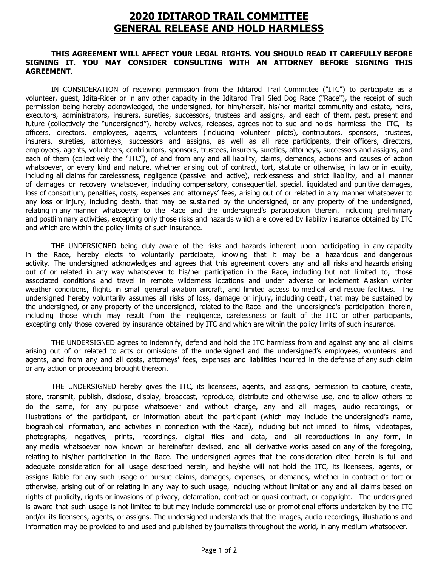## **2020 IDITAROD TRAIL COMMITTEE GENERAL RELEASE AND HOLD HARMLESS**

## **THIS AGREEMENT WILL AFFECT YOUR LEGAL RIGHTS. YOU SHOULD READ IT CAREFULLY BEFORE SIGNING IT. YOU MAY CONSIDER CONSULTING WITH AN ATTORNEY BEFORE SIGNING THIS AGREEMENT**.

IN CONSIDERATION of receiving permission from the Iditarod Trail Committee ("ITC") to participate as a volunteer, guest, Idita-Rider or in any other capacity in the Iditarod Trail Sled Dog Race ("Race"), the receipt of such permission being hereby acknowledged, the undersigned, for him/herself, his/her marital community and estate, heirs, executors, administrators, insurers, sureties, successors, trustees and assigns, and each of them, past, present and future (collectively the "undersigned"), hereby waives, releases, agrees not to sue and holds harmless the ITC, its officers, directors, employees, agents, volunteers (including volunteer pilots), contributors, sponsors, trustees, insurers, sureties, attorneys, successors and assigns, as well as all race participants, their officers, directors, employees, agents, volunteers, contributors, sponsors, trustees, insurers, sureties, attorneys, successors and assigns, and each of them (collectively the "ITC"), of and from any and all liability, claims, demands, actions and causes of action whatsoever, or every kind and nature, whether arising out of contract, tort, statute or otherwise, in law or in equity, including all claims for carelessness, negligence (passive and active), recklessness and strict liability, and all manner of damages or recovery whatsoever, including compensatory, consequential, special, liquidated and punitive damages, loss of consortium, penalties, costs, expenses and attorneys' fees, arising out of or related in any manner whatsoever to any loss or injury, including death, that may be sustained by the undersigned, or any property of the undersigned, relating in any manner whatsoever to the Race and the undersigned's participation therein, including preliminary and postliminary activities, excepting only those risks and hazards which are covered by liability insurance obtained by ITC and which are within the policy limits of such insurance.

THE UNDERSIGNED being duly aware of the risks and hazards inherent upon participating in any capacity in the Race, hereby elects to voluntarily participate, knowing that it may be a hazardous and dangerous activity. The undersigned acknowledges and agrees that this agreement covers any and all risks and hazards arising out of or related in any way whatsoever to his/her participation in the Race, including but not limited to, those associated conditions and travel in remote wilderness locations and under adverse or inclement Alaskan winter weather conditions, flights in small general aviation aircraft, and limited access to medical and rescue facilities. The undersigned hereby voluntarily assumes all risks of loss, damage or injury, including death, that may be sustained by the undersigned, or any property of the undersigned, related to the Race and the undersigned's participation therein, including those which may result from the negligence, carelessness or fault of the ITC or other participants, excepting only those covered by insurance obtained by ITC and which are within the policy limits of such insurance.

THE UNDERSIGNED agrees to indemnify, defend and hold the ITC harmless from and against any and all claims arising out of or related to acts or omissions of the undersigned and the undersigned's employees, volunteers and agents, and from any and all costs, attorneys' fees, expenses and liabilities incurred in the defense of any such claim or any action or proceeding brought thereon.

THE UNDERSIGNED hereby gives the ITC, its licensees, agents, and assigns, permission to capture, create, store, transmit, publish, disclose, display, broadcast, reproduce, distribute and otherwise use, and to allow others to do the same, for any purpose whatsoever and without charge, any and all images, audio recordings, or illustrations of the participant, or information about the participant (which may include the undersigned's name, biographical information, and activities in connection with the Race), including but not limited to films, videotapes, photographs, negatives, prints, recordings, digital files and data, and all reproductions in any form, in any media whatsoever now known or hereinafter devised, and all derivative works based on any of the foregoing, relating to his/her participation in the Race. The undersigned agrees that the consideration cited herein is full and adequate consideration for all usage described herein, and he/she will not hold the ITC, its licensees, agents, or assigns liable for any such usage or pursue claims, damages, expenses, or demands, whether in contract or tort or otherwise, arising out of or relating in any way to such usage, including without limitation any and all claims based on rights of publicity, rights or invasions of privacy, defamation, contract or quasi-contract, or copyright. The undersigned is aware that such usage is not limited to but may include commercial use or promotional efforts undertaken by the ITC and/or its licensees, agents, or assigns. The undersigned understands that the images, audio recordings, illustrations and information may be provided to and used and published by journalists throughout the world, in any medium whatsoever.